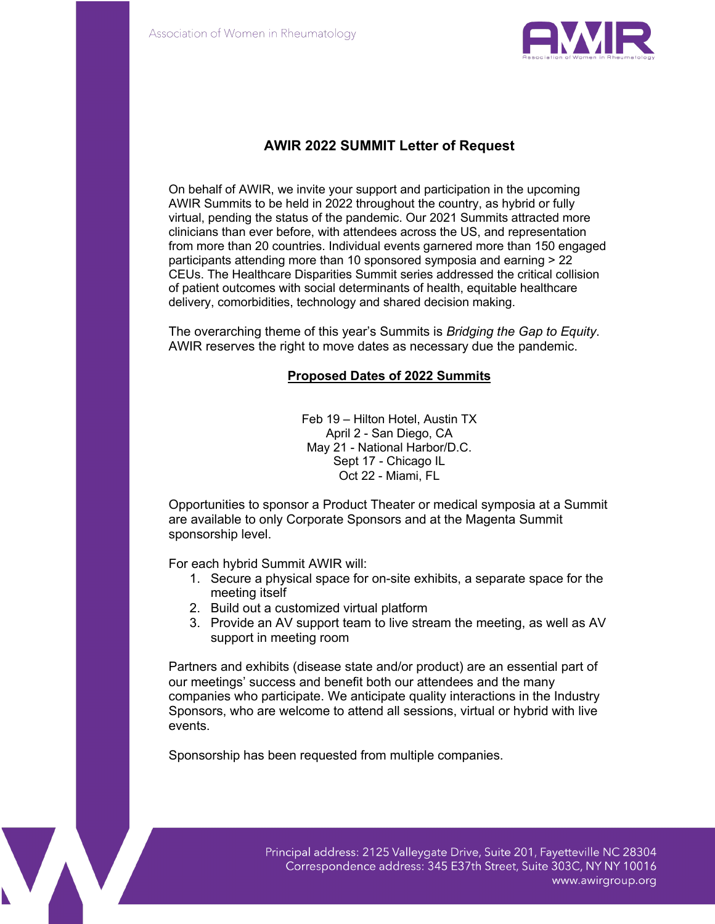

# **AWIR 2022 SUMMIT Letter of Request**

On behalf of AWIR, we invite your support and participation in the upcoming AWIR Summits to be held in 2022 throughout the country, as hybrid or fully virtual, pending the status of the pandemic. Our 2021 Summits attracted more clinicians than ever before, with attendees across the US, and representation from more than 20 countries. Individual events garnered more than 150 engaged participants attending more than 10 sponsored symposia and earning > 22 CEUs. The Healthcare Disparities Summit series addressed the critical collision of patient outcomes with social determinants of health, equitable healthcare delivery, comorbidities, technology and shared decision making.

The overarching theme of this year's Summits is *Bridging the Gap to Equity*. AWIR reserves the right to move dates as necessary due the pandemic.

#### **Proposed Dates of 2022 Summits**

Feb 19 – Hilton Hotel, Austin TX April 2 - San Diego, CA May 21 - National Harbor/D.C. Sept 17 - Chicago IL Oct 22 - Miami, FL

Opportunities to sponsor a Product Theater or medical symposia at a Summit are available to only Corporate Sponsors and at the Magenta Summit sponsorship level.

For each hybrid Summit AWIR will:

- 1. Secure a physical space for on-site exhibits, a separate space for the meeting itself
- 2. Build out a customized virtual platform
- 3. Provide an AV support team to live stream the meeting, as well as AV support in meeting room

Partners and exhibits (disease state and/or product) are an essential part of our meetings' success and benefit both our attendees and the many companies who participate. We anticipate quality interactions in the Industry Sponsors, who are welcome to attend all sessions, virtual or hybrid with live events.

Sponsorship has been requested from multiple companies.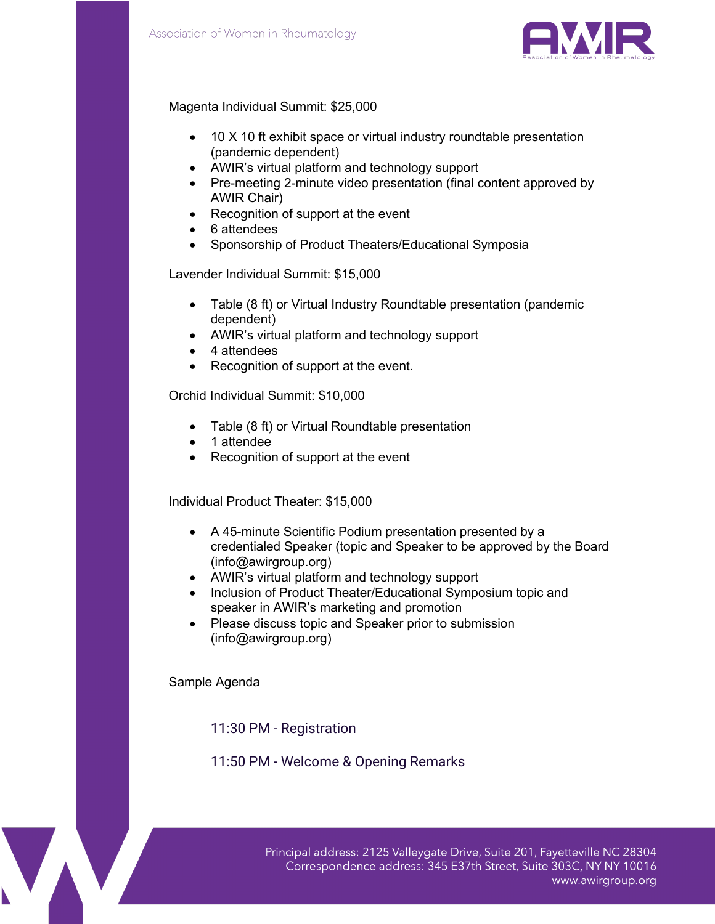

# Magenta Individual Summit: \$25,000

- 10 X 10 ft exhibit space or virtual industry roundtable presentation (pandemic dependent)
- AWIR's virtual platform and technology support
- Pre-meeting 2-minute video presentation (final content approved by AWIR Chair)
- Recognition of support at the event
- 6 attendees
- Sponsorship of Product Theaters/Educational Symposia

Lavender Individual Summit: \$15,000

- Table (8 ft) or Virtual Industry Roundtable presentation (pandemic dependent)
- AWIR's virtual platform and technology support
- 4 attendees
- Recognition of support at the event.

Orchid Individual Summit: \$10,000

- Table (8 ft) or Virtual Roundtable presentation
- 1 attendee
- Recognition of support at the event

Individual Product Theater: \$15,000

- A 45-minute Scientific Podium presentation presented by a credentialed Speaker (topic and Speaker to be approved by the Board (info@awirgroup.org)
- AWIR's virtual platform and technology support
- Inclusion of Product Theater/Educational Symposium topic and speaker in AWIR's marketing and promotion
- Please discuss topic and Speaker prior to submission (info@awirgroup.org)

Sample Agenda

11:30 PM - Registration

# 11:50 PM - Welcome & Opening Remarks